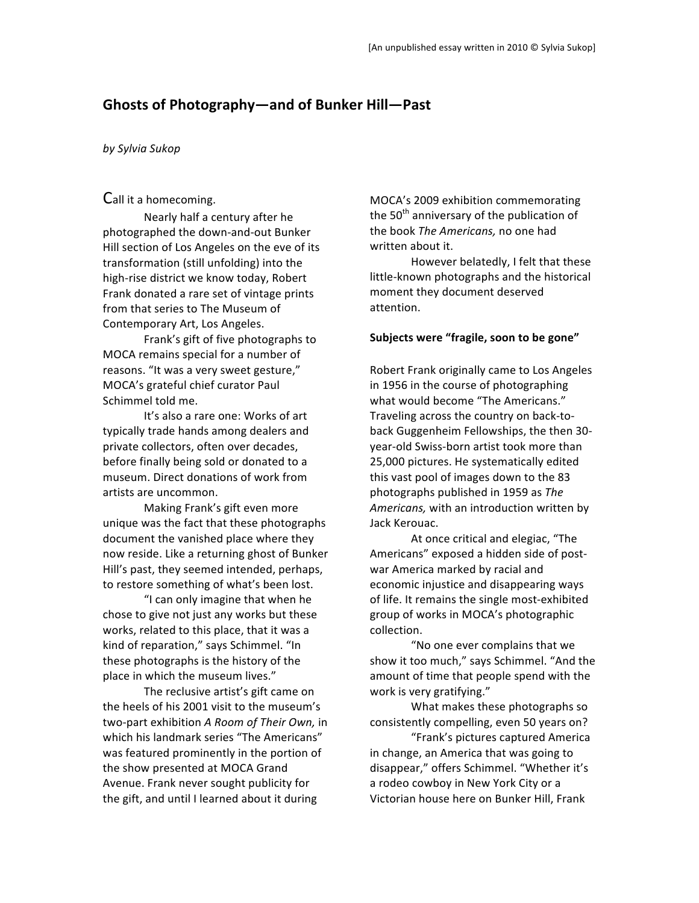# **Ghosts
of
Photography—and
of
Bunker
Hill—Past**

#### *by
Sylvia
Sukop*

## Call
it
a
homecoming.

Nearly
half
a
century
after
he photographed
the
down‐and‐out
Bunker Hill
section
of
Los
Angeles
on
the
eve
of
its transformation
(still
unfolding)
into
the high‐rise
district
we
know
today,
Robert Frank donated a rare set of vintage prints from
that
series
to
The
Museum
of Contemporary
Art,
Los
Angeles.

Frank's
gift
of
five
photographs
to MOCA
remains
special
for
a
number
of reasons.
"It
was
a
very
sweet
gesture," MOCA's
grateful
chief
curator
Paul Schimmel
told
me.

It's also a rare one: Works of art typically
trade
hands
among
dealers
and private
collectors,
often
over
decades, before finally being sold or donated to a museum.
Direct
donations
of
work
from artists
are
uncommon.

Making
Frank's
gift
even
more unique
was
the
fact
that
these
photographs document the vanished place where they now
reside.
Like
a
returning
ghost
of
Bunker Hill's
past,
they
seemed
intended,
perhaps, to
restore
something
of
what's
been
lost.

"I
can
only
imagine
that
when
he chose
to
give
not
just
any
works
but
these works, related to this place, that it was a kind
of
reparation,"
says
Schimmel.
"In these
photographs
is
the
history
of
the place
in
which
the
museum
lives."

The
reclusive
artist's
gift
came
on the
heels
of
his
2001
visit
to
the
museum's two‐part
exhibition *A
Room
of
Their
Own,* in which
his
landmark
series
"The
Americans" was featured prominently in the portion of the
show
presented
at
MOCA
Grand Avenue.
Frank
never
sought
publicity
for the
gift,
and
until
I
learned
about
it
during

MOCA's
2009
exhibition
commemorating the 50<sup>th</sup> anniversary of the publication of the
book *The
Americans,*no
one
had written
about
it.

However
belatedly,
I
felt
that
these little‐known
photographs
and
the
historical moment
they
document
deserved attention.

### **Subjects
were "fragile,
soon
to
be
gone"**

Robert
Frank
originally
came
to
Los
Angeles in 1956 in the course of photographing what would become "The Americans." Traveling
across
the
country
on
back‐to‐ back
Guggenheim
Fellowships,
the
then
30‐ year‐old
Swiss‐born
artist
took
more
than 25,000
pictures.
He
systematically
edited this
vast
pool
of
images
down
to
the
83 photographs
published
in
1959
as *The*  Americans, with an introduction written by Jack
Kerouac.

At
once
critical
and
elegiac,
"The Americans"
exposed
a
hidden
side
of
post‐ war
America
marked
by
racial
and economic
injustice
and
disappearing
ways of
life.
It
remains
the
single
most‐exhibited group
of
works
in
MOCA's
photographic collection.

"No
one
ever
complains
that
we show it too much," says Schimmel. "And the amount
of
time
that
people
spend
with
the work
is
very
gratifying."

What
makes
these
photographs
so consistently
compelling,
even
50
years
on?

"Frank's
pictures
captured
America in
change,
an
America
that
was
going
to disappear,"
offers
Schimmel.
"Whether
it's a rodeo cowboy in New York City or a Victorian
house
here
on
Bunker
Hill,
Frank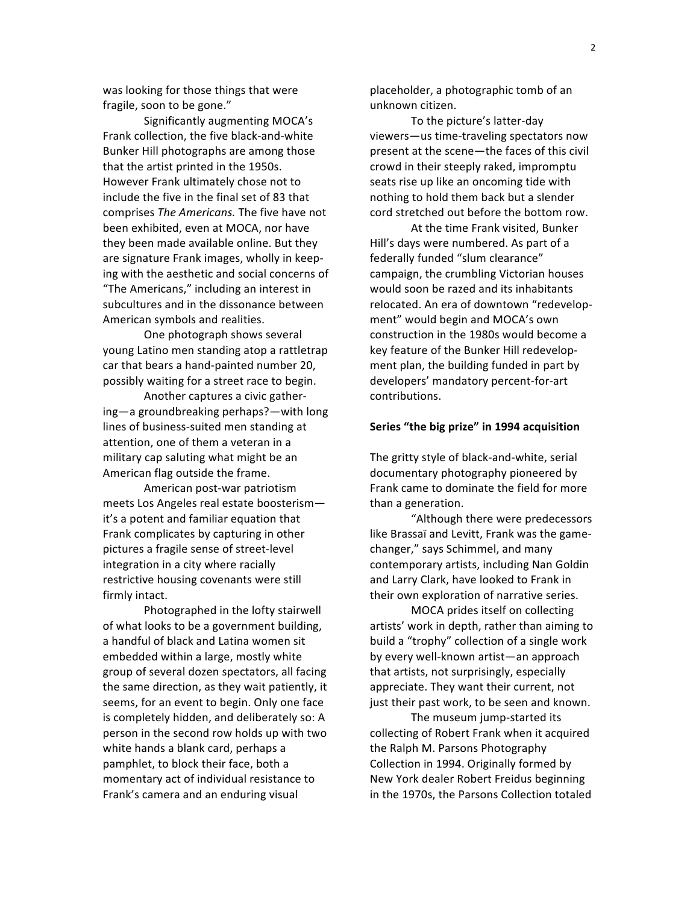was
looking
for
those
things
that
were fragile,
soon
to
be
gone."

Significantly
augmenting
MOCA's Frank
collection,
the
five
black‐and‐white Bunker
Hill
photographs
are
among
those that
the
artist
printed
in
the
1950s. However
Frank ultimately
chose
not
to include the five in the final set of 83 that comprises *The
Americans.* The
five
have
not been
exhibited,
even
at
MOCA, nor
have they
been
made
available
online.
But
they are
signature
Frank
images,
wholly
in
keep‐ ing
with
the
aesthetic
and
social
concerns
of "The
Americans,"
including
an
interest
in subcultures
and
in
the
dissonance
between American
symbols
and
realities.

One
photograph
shows
several young
Latino
men
standing
atop
a
rattletrap car
that
bears
a
hand‐painted
number
20, possibly waiting for a street race to begin.

Another
captures
a
civic
gather‐ ing—a
groundbreaking
perhaps?—with
long lines
of
business‐suited
men
standing
at attention,
one
of
them
a
veteran
in
a military
cap
saluting
what
might
be
an American
flag
outside
the
frame.

American
post‐war
patriotism meets
Los
Angeles
real
estate
boosterism it's
a
potent
and
familiar
equation
that Frank
complicates
by
capturing
in
other pictures
a
fragile
sense
of
street‐level integration in a city where racially restrictive
housing
covenants
were
still firmly
intact.

Photographed
in
the
lofty
stairwell of
what
looks
to
be
a
government
building, a
handful
of
black
and
Latina
women
sit embedded
within
a
large,
mostly
white group
of
several
dozen
spectators,
all
facing the same direction, as they wait patiently, it seems,
for
an
event
to
begin.
Only
one
face is
completely
hidden,
and
deliberately
so:
A person
in
the
second
row
holds
up
with
two white hands a blank card, perhaps a pamphlet,
to
block
their
face,
both
a momentary
act
of
individual
resistance
to Frank's
camera
and
an
enduring
visual

placeholder,
a
photographic
tomb
of
an unknown
citizen.

To
the
picture's
latter‐day viewers—us
time‐traveling
spectators
now present
at
the
scene—the
faces
of
this
civil crowd
in
their
steeply
raked,
impromptu seats
rise
up
like
an
oncoming
tide
with nothing
to
hold
them
back
but
a
slender cord
stretched
out
before
the
bottom
row.

At
the
time
Frank
visited,
Bunker Hill's
days
were
numbered.
As
part
of
a federally
funded
"slum
clearance" campaign,
the
crumbling
Victorian
houses would
soon
be
razed
and
its
inhabitants relocated.
An
era
of
downtown
"redevelop‐ ment"
would
begin
and
MOCA's
own construction
in
the
1980s
would
become
a key
feature
of
the
Bunker
Hill
redevelop‐ ment
plan,
the
building
funded
in
part
by developers'
mandatory
percent‐for‐art contributions.

#### **Series
"the
big
prize" in
1994
acquisition**

The
gritty
style
of
black‐and‐white,
serial documentary
photography
pioneered
by Frank
came
to
dominate
the
field
for
more than
a
generation.

"Although
there
were
predecessors like
Brassaï
and
Levitt,
Frank
was
the
game‐ changer,"
says
Schimmel,
and
many contemporary
artists,
including
Nan
Goldin and
Larry
Clark,
have
looked
to
Frank
in their
own
exploration
of
narrative
series.

MOCA
prides
itself
on
collecting artists'
work
in
depth,
rather
than
aiming
to build
a
"trophy"
collection
of
a
single
work by
every
well‐known
artist—an
approach that
artists,
not
surprisingly,
especially appreciate.
They
want
their
current,
not just
their
past
work,
to
be
seen
and
known.

The
museum
jump‐started
its collecting
of
Robert
Frank
when
it
acquired the
Ralph
M.
Parsons
Photography Collection
in
1994.
Originally
formed
by New
York
dealer
Robert
Freidus
beginning in
the
1970s,
the
Parsons
Collection
totaled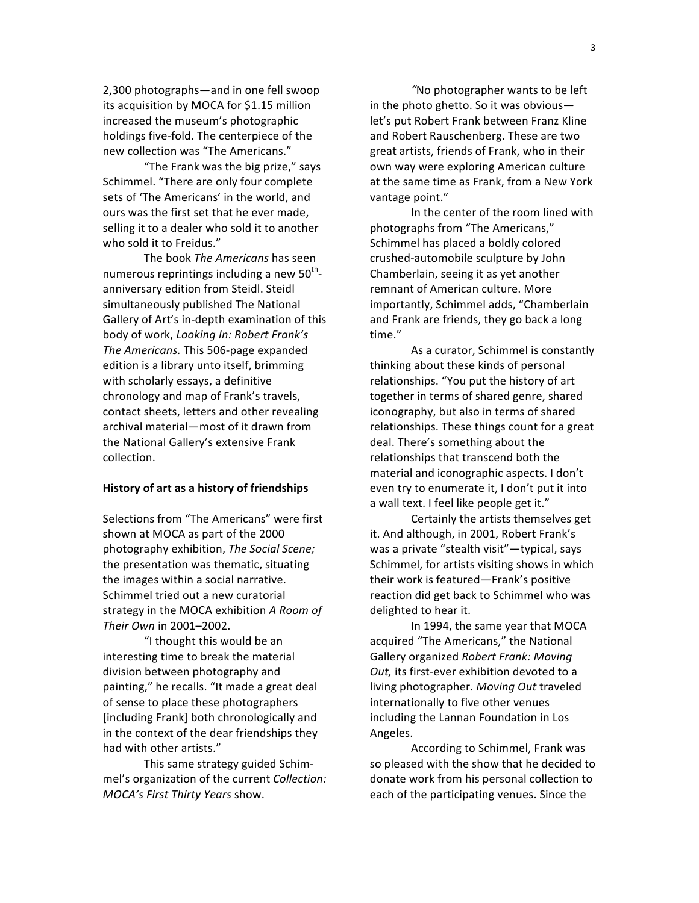2,300
photographs—and
in
one
fell
swoop its acquisition by MOCA for \$1.15 million increased
the
museum's
photographic holdings
five‐fold.
The
centerpiece
of
the new
collection
was
"The
Americans."

"The
Frank
was
the
big
prize,"
says Schimmel.
"There
are
only
four
complete sets
of
'The
Americans'
in
the
world,
and ours
was
the
first
set
that
he
ever
made, selling it to a dealer who sold it to another who sold it to Freidus."

The
book *The
Americans*has
seen numerous reprintings including a new 50<sup>th</sup>anniversary
edition
from
Steidl.
Steidl simultaneously
published
The
National Gallery
of
Art's
in‐depth
examination
of
this body
of
work, *Looking
In:
Robert
Frank's*  The Americans. This 506-page expanded edition is
a
library
unto
itself,
brimming with
scholarly
essays,
a
definitive chronology
and
map
of
Frank's
travels, contact
sheets,
letters
and
other
revealing archival
material—most
of
it
drawn
from the
National
Gallery's
extensive
Frank collection.

#### **History
of
art
as
a
history
of
friendships**

Selections
from
"The
Americans"
were
first shown
at
MOCA
as
part
of
the
2000 photography
exhibition, *The
Social
Scene;* the
presentation
was
thematic,
situating the
images
within
a
social
narrative. Schimmel
tried
out
a
new
curatorial strategy
in
the
MOCA
exhibition *A
Room
of Their
Own* in
2001–2002.

"I thought this would be an interesting
time
to
break
the
material division
between
photography
and painting,"
he
recalls.
"It
made
a
great
deal of
sense
to
place
these
photographers [including Frank] both chronologically and in
the
context
of
the
dear
friendships
they had
with
other
artists."

This
same
strategy
guided
Schim‐ mel's
organization
of
the
current *Collection: MOCA's
First
Thirty
Years* show.

*"*No
photographer
wants
to
be
left in
the
photo
ghetto.
So
it
was
obvious let's
put
Robert
Frank
between
Franz
Kline and Robert
Rauschenberg.
These
are
two great
artists,
friends
of
Frank,
who
in
their own
way
were
exploring
American
culture at
the
same
time
as
Frank,
from
a
New
York vantage
point."

In the center of the room lined with photographs
from
"The
Americans," Schimmel
has
placed
a
boldly
colored crushed‐automobile
sculpture
by
John Chamberlain,
seeing
it
as
yet
another remnant
of
American
culture.
More importantly,
Schimmel
adds,
"Chamberlain and
Frank
are
friends,
they
go
back
a
long time."

As
a
curator,
Schimmel
is
constantly thinking
about
these
kinds
of
personal relationships.
"You
put
the
history
of
art together
in
terms
of
shared
genre,
shared iconography,
but
also
in
terms
of
shared relationships.
These
things
count
for
a
great deal.
There's
something
about
the relationships
that
transcend
both
the material
and
iconographic
aspects.
I
don't even try to enumerate it, I don't put it into a wall text. I feel like people get it."

Certainly
the
artists
themselves
get it. And
although,
in
2001,
Robert
Frank's was a private "stealth visit"—typical, says Schimmel,
for
artists
visiting
shows
in
which their
work
is
featured—Frank's
positive reaction
did
get
back
to
Schimmel
who
was delighted
to
hear
it.

In
1994,
the
same
year
that
MOCA acquired
"The
Americans,"
the
National Gallery
organized *Robert
Frank:
Moving*  Out, its first-ever exhibition devoted to a living
photographer. *Moving
Out*traveled internationally
to
five
other
venues including
the
Lannan
Foundation
in
Los Angeles.

According
to
Schimmel, Frank
was so pleased with the show that he decided to donate
work
from
his
personal
collection
to each
of
the
participating
venues.
Since
the